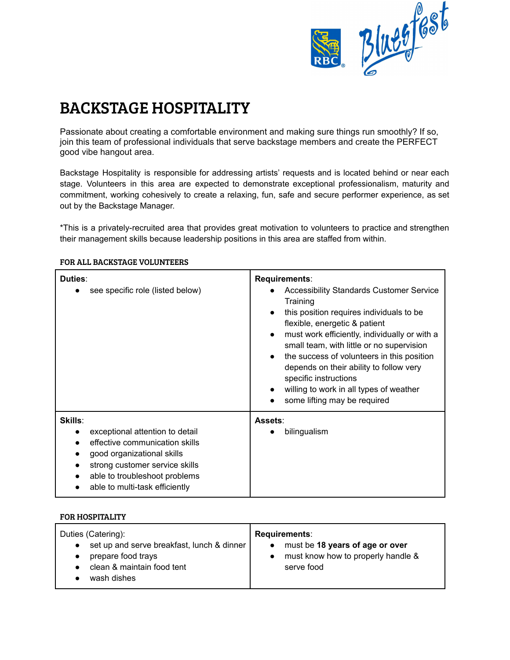

# BACKSTAGE HOSPITALITY

Passionate about creating a comfortable environment and making sure things run smoothly? If so, join this team of professional individuals that serve backstage members and create the PERFECT good vibe hangout area.

Backstage Hospitality is responsible for addressing artists' requests and is located behind or near each stage. Volunteers in this area are expected to demonstrate exceptional professionalism, maturity and commitment, working cohesively to create a relaxing, fun, safe and secure performer experience, as set out by the Backstage Manager.

\*This is a privately-recruited area that provides great motivation to volunteers to practice and strengthen their management skills because leadership positions in this area are staffed from within.

| Duties:<br>see specific role (listed below)                                                                                                                                                                                         | Requirements:<br><b>Accessibility Standards Customer Service</b><br>Training<br>this position requires individuals to be<br>$\bullet$<br>flexible, energetic & patient<br>must work efficiently, individually or with a<br>$\bullet$<br>small team, with little or no supervision<br>the success of volunteers in this position<br>$\bullet$<br>depends on their ability to follow very<br>specific instructions<br>willing to work in all types of weather<br>$\bullet$<br>some lifting may be required |
|-------------------------------------------------------------------------------------------------------------------------------------------------------------------------------------------------------------------------------------|----------------------------------------------------------------------------------------------------------------------------------------------------------------------------------------------------------------------------------------------------------------------------------------------------------------------------------------------------------------------------------------------------------------------------------------------------------------------------------------------------------|
| <b>Skills:</b><br>exceptional attention to detail<br>$\bullet$<br>effective communication skills<br>good organizational skills<br>strong customer service skills<br>able to troubleshoot problems<br>able to multi-task efficiently | Assets:<br>bilingualism                                                                                                                                                                                                                                                                                                                                                                                                                                                                                  |

### FOR ALL BACKSTAGE VOLUNTEERS

#### FOR HOSPITALITY

| Duties (Catering):                         | <b>Requirements:</b>               |
|--------------------------------------------|------------------------------------|
| set up and serve breakfast, lunch & dinner | must be 18 years of age or over    |
| prepare food trays                         | $\bullet$                          |
| $\bullet$                                  | must know how to properly handle & |
| clean & maintain food tent                 | $\bullet$                          |
| wash dishes                                | serve food                         |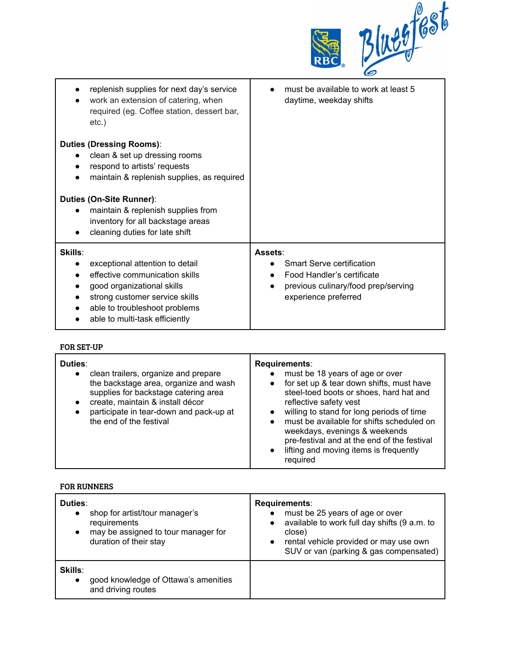| е<br>® | $\boldsymbol{\beta}$<br>70 <sub>o</sub><br>.96 |
|--------|------------------------------------------------|
|--------|------------------------------------------------|

| replenish supplies for next day's service<br>work an extension of catering, when<br>required (eg. Coffee station, dessert bar,<br>etc.)                                                                                      | must be available to work at least 5<br>daytime, weekday shifts                                                                          |
|------------------------------------------------------------------------------------------------------------------------------------------------------------------------------------------------------------------------------|------------------------------------------------------------------------------------------------------------------------------------------|
| <b>Duties (Dressing Rooms):</b><br>clean & set up dressing rooms<br>respond to artists' requests<br>maintain & replenish supplies, as required                                                                               |                                                                                                                                          |
| Duties (On-Site Runner):<br>maintain & replenish supplies from<br>$\bullet$<br>inventory for all backstage areas<br>cleaning duties for late shift                                                                           |                                                                                                                                          |
| Skills:<br>exceptional attention to detail<br>$\bullet$<br>effective communication skills<br>good organizational skills<br>strong customer service skills<br>able to troubleshoot problems<br>able to multi-task efficiently | Assets:<br><b>Smart Serve certification</b><br>Food Handler's certificate<br>previous culinary/food prep/serving<br>experience preferred |

## FOR SET-UP

| Duties:<br>clean trailers, organize and prepare<br>$\bullet$<br>the backstage area, organize and wash<br>supplies for backstage catering area<br>create, maintain & install décor<br>$\bullet$<br>participate in tear-down and pack-up at<br>$\bullet$<br>the end of the festival | Requirements:<br>must be 18 years of age or over<br>for set up & tear down shifts, must have<br>$\bullet$<br>steel-toed boots or shoes, hard hat and<br>reflective safety vest<br>willing to stand for long periods of time<br>$\bullet$<br>must be available for shifts scheduled on<br>$\bullet$<br>weekdays, evenings & weekends<br>pre-festival and at the end of the festival<br>lifting and moving items is frequently<br>$\bullet$<br>required |
|-----------------------------------------------------------------------------------------------------------------------------------------------------------------------------------------------------------------------------------------------------------------------------------|-------------------------------------------------------------------------------------------------------------------------------------------------------------------------------------------------------------------------------------------------------------------------------------------------------------------------------------------------------------------------------------------------------------------------------------------------------|
|-----------------------------------------------------------------------------------------------------------------------------------------------------------------------------------------------------------------------------------------------------------------------------------|-------------------------------------------------------------------------------------------------------------------------------------------------------------------------------------------------------------------------------------------------------------------------------------------------------------------------------------------------------------------------------------------------------------------------------------------------------|

## FOR RUNNERS

| Duties:<br>$\bullet$        | shop for artist/tour manager's<br>requirements<br>may be assigned to tour manager for<br>duration of their stay | Requirements:<br>must be 25 years of age or over<br>$\bullet$<br>available to work full day shifts (9 a.m. to<br>$\bullet$<br>close)<br>rental vehicle provided or may use own<br>$\bullet$<br>SUV or van (parking & gas compensated) |
|-----------------------------|-----------------------------------------------------------------------------------------------------------------|---------------------------------------------------------------------------------------------------------------------------------------------------------------------------------------------------------------------------------------|
| <b>Skills:</b><br>$\bullet$ | good knowledge of Ottawa's amenities<br>and driving routes                                                      |                                                                                                                                                                                                                                       |